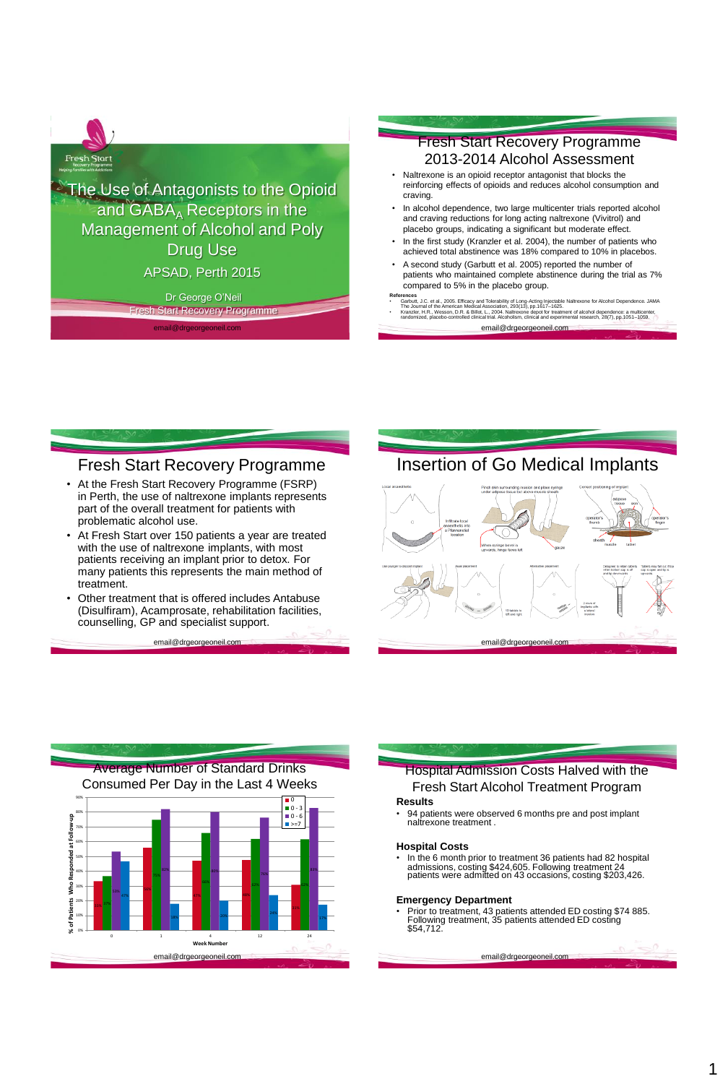

The Use of Antagonists to the Opioid and  $GABA_A$  Receptors in the Management of Alcohol and Poly Drug Use

APSAD, Perth 2015

Dr George O'Neil Recovery Programme

email@drgeorgeoneil.com

## Fresh Start Recovery Programme 2013-2014 Alcohol Assessment

- Naltrexone is an opioid receptor antagonist that blocks the reinforcing effects of opioids and reduces alcohol consumption and craving.
- In alcohol dependence, two large multicenter trials reported alcohol and craving reductions for long acting naltrexone (Vivitrol) and placebo groups, indicating a significant but moderate effect.
- In the first study (Kranzler et al. 2004), the number of patients who achieved total abstinence was 18% compared to 10% in placebos.
- A second study (Garbutt et al. 2005) reported the number of patients who maintained complete abstinence during the trial as 7% compared to 5% in the placebo group.
- email@drgeorgeoneil.com **References**<br>• Garbutt, J.C. et al., 2005. Efficacy and Tolerability of Long-Acting Injectable Naltrexone for Alcohol Dependence. JAMA<br>The Journal of the American Medical Association, 293(13), pp.1617–1625. Kranzler, H.R., Wesson, D.R. & Billot, L., 2004. Naltrexone depot for treatment of alcohol dependence: a multicenter,<br>randomized, placebo-controlled clinical trial. Alcoholism, clinical and experimental research, 28(7), pp

## Fresh Start Recovery Programme

- At the Fresh Start Recovery Programme (FSRP) in Perth, the use of naltrexone implants represents part of the overall treatment for patients with problematic alcohol use.
- At Fresh Start over 150 patients a year are treated with the use of naltrexone implants, with most patients receiving an implant prior to detox. For many patients this represents the main method of treatment.
- Other treatment that is offered includes Antabuse (Disulfiram), Acamprosate, rehabilitation facilities, counselling, GP and specialist support.

email@drgeorge

# Insertion of Go Medical Implants





# Hospital Admission Costs Halved with the Fresh Start Alcohol Treatment Program

### **Results**

• 94 patients were observed 6 months pre and post implant naltrexone treatment .

### **Hospital Costs**

• In the 6 month prior to treatment 36 patients had 82 hospital admissions, costing \$424,605. Following treatment 24 patients were admitted on 43 occasions, costing \$203,426.

### **Emergency Department**

• Prior to treatment, 43 patients attended ED costing \$74 885. Following treatment, 35 patients attended ED costing \$54,712.

email@drgeorgeoneil.com

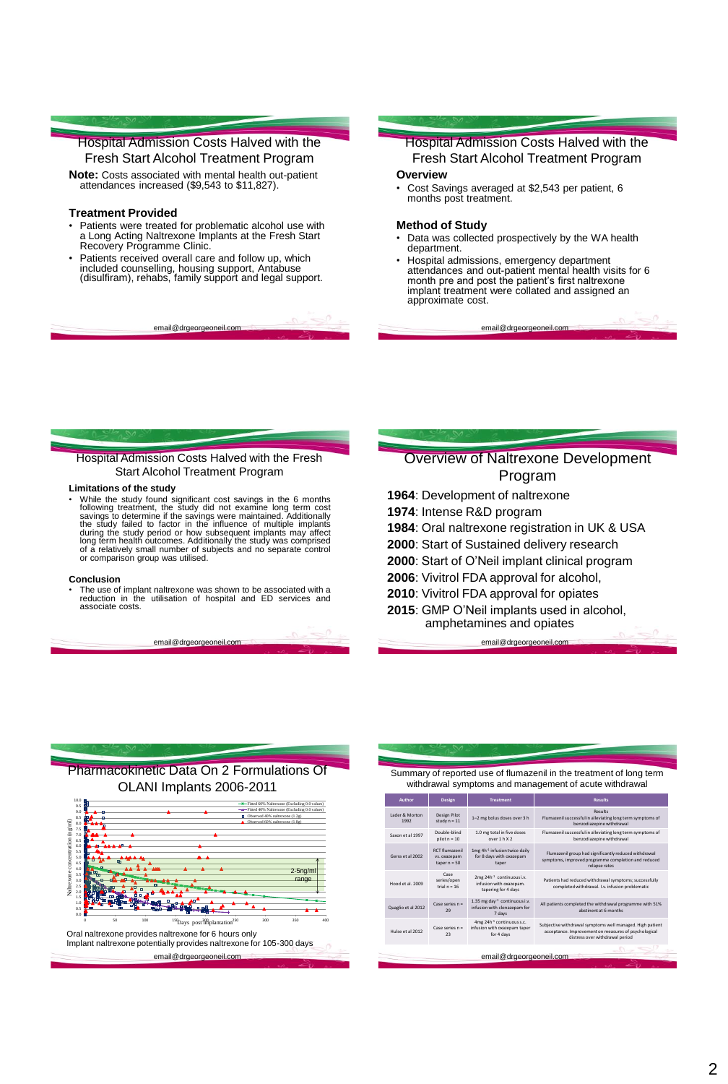## Hospital Admission Costs Halved with the Fresh Start Alcohol Treatment Program

**Note:** Costs associated with mental health out-patient attendances increased (\$9,543 to \$11,827).

#### **Treatment Provided**

- Patients were treated for problematic alcohol use with a Long Acting Naltrexone Implants at the Fresh Start Recovery Programme Clinic.
- Patients received overall care and follow up, which included counselling, housing support, Antabuse (disulfiram), rehabs, family support and legal support.

email@drgeorgeoneil.co

## Hospital Admission Costs Halved with the Fresh Start Alcohol Treatment Program

### **Overview**

• Cost Savings averaged at \$2,543 per patient, 6 months post treatment.

#### **Method of Study**

- Data was collected prospectively by the WA health department.
- Hospital admissions, emergency department attendances and out-patient mental health visits for 6 month pre and post the patient's first naltrexone implant treatment were collated and assigned an approximate cost.

email@drgeorgeoneil.com

### Hospital Admission Costs Halved with the Fresh Start Alcohol Treatment Program

#### **Limitations of the study**

• While the study found significant cost savings in the 6 months following treatment, the study did not examine long term cost savings to determine if the savings were maintained. Additionally the study failed to factor in

#### **Conclusion**

• The use of implant naltrexone was shown to be associated with a reduction in the utilisation of hospital and ED services and associate costs.

email@drgeorgeon

## Overview of Naltrexone Development Program

- **1964**: Development of naltrexone
- **1974**: Intense R&D program
- **1984**: Oral naltrexone registration in UK & USA
- **2000**: Start of Sustained delivery research
- **2000**: Start of O'Neil implant clinical program
- **2006**: Vivitrol FDA approval for alcohol,
- **2010**: Vivitrol FDA approval for opiates
- **2015**: GMP O'Neil implants used in alcohol, amphetamines and opiates email@drgeorg



| Summary of reported use of flumazenil in the treatment of long term<br>withdrawal symptoms and management of acute withdrawal |                                                         |                                                                                         |                                                                                                                               |
|-------------------------------------------------------------------------------------------------------------------------------|---------------------------------------------------------|-----------------------------------------------------------------------------------------|-------------------------------------------------------------------------------------------------------------------------------|
| Author                                                                                                                        | Design                                                  | <b>Treatment</b>                                                                        | <b>Results</b>                                                                                                                |
| Lader & Morton<br>1992                                                                                                        | Design Pilot<br>study $n = 11$                          | 1-2 mg bolus doses over 3 h                                                             | <b>Results</b><br>Flumazenil successful in alleviating long term symptoms of<br>benzodiazepine withdrawal                     |
| Saxon et al 1997                                                                                                              | Double-blind<br>$pilot n = 10$                          | 1.0 mg total in five doses<br>over 1 h X 2                                              | Flumazenil successful in alleviating long term symptoms of<br>benzodiazepine withdrawal                                       |
| Gerra et al 2002                                                                                                              | <b>RCT</b> flumazenil<br>vs. oxazepam<br>$taper n = 50$ | 1mg 4h <sup>-1</sup> infusion twice daily<br>for 8 days with oxazepam<br>taper          | Flumazenil group had significantly reduced withdrawal<br>symptoms, improved programme completion and reduced<br>relapse rates |
| Hood et al. 2009                                                                                                              | Case<br>series/open<br>trial $n = 16$                   | 2mg 24h <sup>-1</sup> continuous i.v.<br>infusion with oxazepam.<br>tapering for 4 days | Patients had reduced withdrawal symptoms; successfully<br>completed withdrawal. I.v. infusion problematic                     |

Quaglio et al 2012 Case series  $n =$ **29**  $1.35$  mg day<sup>-1</sup> continuous i.v. infusion with clonazepam for 7 days All patients completed the withdrawal programme with 51% abstinent at 6 months Hulse et al 2012 Case series  $n =$ 23 4mg 24h-1 continuous s.c. infusion with oxazepam taper for 4 days Subjective withdrawal symptoms well managed. High patient acceptance. Improvement on measures of psychological distress over withdrawal period

#### email@drgeorgeoneil.com